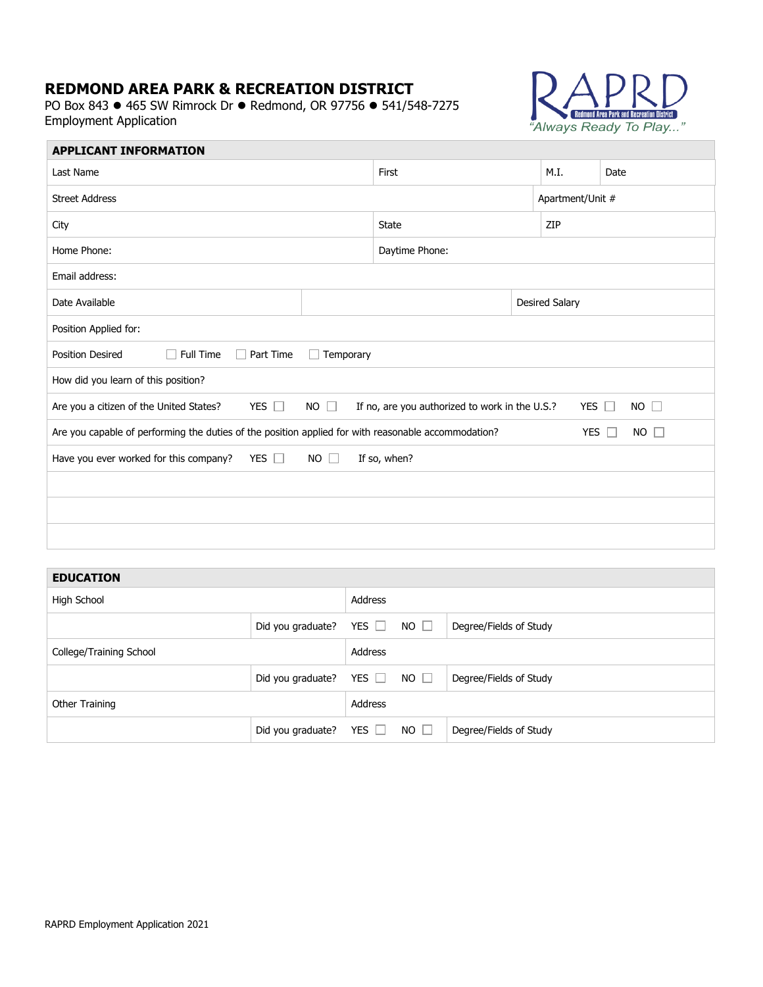# **REDMOND AREA PARK & RECREATION DISTRICT**

PO Box 843 ● 465 SW Rimrock Dr ● Redmond, OR 97756 ● 541/548-7275 Employment Application



| <b>APPLICANT INFORMATION</b>                                                                                                                         |  |                |  |                       |      |  |
|------------------------------------------------------------------------------------------------------------------------------------------------------|--|----------------|--|-----------------------|------|--|
| Last Name                                                                                                                                            |  | First          |  | M.I.                  | Date |  |
| <b>Street Address</b>                                                                                                                                |  |                |  | Apartment/Unit #      |      |  |
| City                                                                                                                                                 |  | <b>State</b>   |  | ZIP                   |      |  |
| Home Phone:                                                                                                                                          |  | Daytime Phone: |  |                       |      |  |
| Email address:                                                                                                                                       |  |                |  |                       |      |  |
| Date Available                                                                                                                                       |  |                |  | <b>Desired Salary</b> |      |  |
| Position Applied for:                                                                                                                                |  |                |  |                       |      |  |
| Full Time<br><b>Position Desired</b><br>Part Time<br>Temporary                                                                                       |  |                |  |                       |      |  |
| How did you learn of this position?                                                                                                                  |  |                |  |                       |      |  |
| YES $\square$<br>$NO$ $\Box$<br>Are you a citizen of the United States?<br>$NO \Box$<br>If no, are you authorized to work in the U.S.?<br>YES $\Box$ |  |                |  |                       |      |  |
| Are you capable of performing the duties of the position applied for with reasonable accommodation?<br>YES $\Box$<br>$NO$ $\Box$                     |  |                |  |                       |      |  |
| Have you ever worked for this company?<br>YES $\Box$<br>$NO$ $\Box$<br>If so, when?                                                                  |  |                |  |                       |      |  |
|                                                                                                                                                      |  |                |  |                       |      |  |
|                                                                                                                                                      |  |                |  |                       |      |  |
|                                                                                                                                                      |  |                |  |                       |      |  |

### **EDUCATION**

| Address<br>High School<br>$NO$ $\Box$<br>YES $\Box$<br>Did you graduate?<br>Degree/Fields of Study<br>Address<br>College/Training School<br>NO $\square$<br>YES $\Box$<br>Did you graduate?<br>Degree/Fields of Study<br>Address<br>Other Training<br>$NO \Box$<br>YES $\Box$<br>Did you graduate?<br>Degree/Fields of Study |  |  |  |  |  |
|------------------------------------------------------------------------------------------------------------------------------------------------------------------------------------------------------------------------------------------------------------------------------------------------------------------------------|--|--|--|--|--|
|                                                                                                                                                                                                                                                                                                                              |  |  |  |  |  |
|                                                                                                                                                                                                                                                                                                                              |  |  |  |  |  |
|                                                                                                                                                                                                                                                                                                                              |  |  |  |  |  |
|                                                                                                                                                                                                                                                                                                                              |  |  |  |  |  |
|                                                                                                                                                                                                                                                                                                                              |  |  |  |  |  |
|                                                                                                                                                                                                                                                                                                                              |  |  |  |  |  |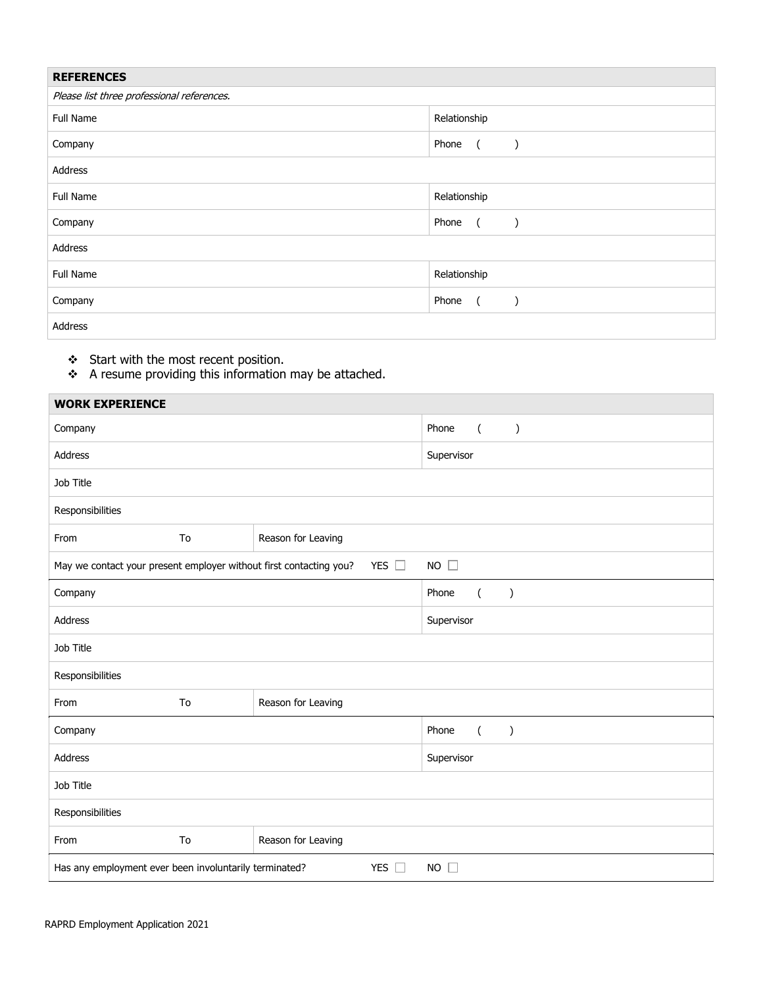| <b>REFERENCES</b>                          |                                      |  |
|--------------------------------------------|--------------------------------------|--|
| Please list three professional references. |                                      |  |
| Full Name                                  | Relationship                         |  |
| Company                                    | Phone<br>$\sqrt{2}$<br>$\mathcal{E}$ |  |
| Address                                    |                                      |  |
| Full Name                                  | Relationship                         |  |
| Company                                    | Phone<br>$\overline{a}$              |  |
| Address                                    |                                      |  |
| Full Name                                  | Relationship                         |  |
| Company                                    | Phone<br>$\sqrt{2}$<br>$\lambda$     |  |
| Address                                    |                                      |  |

❖ Start with the most recent position.

F.

 $\cdot$  A resume providing this information may be attached.

| <b>WORK EXPERIENCE</b>                                                                                |    |                    |                                            |  |  |
|-------------------------------------------------------------------------------------------------------|----|--------------------|--------------------------------------------|--|--|
| Company                                                                                               |    |                    | Phone<br>$\left($<br>$\left( \right)$      |  |  |
| Address                                                                                               |    |                    | Supervisor                                 |  |  |
| Job Title                                                                                             |    |                    |                                            |  |  |
| Responsibilities                                                                                      |    |                    |                                            |  |  |
| From                                                                                                  | To | Reason for Leaving |                                            |  |  |
| YES $\square$<br>$NO$ $\square$<br>May we contact your present employer without first contacting you? |    |                    |                                            |  |  |
| Company                                                                                               |    |                    | Phone<br>$\mathcal{C}$<br>$\overline{(\ }$ |  |  |
| Address                                                                                               |    |                    | Supervisor                                 |  |  |
| Job Title                                                                                             |    |                    |                                            |  |  |
| Responsibilities                                                                                      |    |                    |                                            |  |  |
| From                                                                                                  | To | Reason for Leaving |                                            |  |  |
| Company                                                                                               |    |                    | Phone<br>$\mathcal{E}$<br>$\left($         |  |  |
| Address                                                                                               |    |                    | Supervisor                                 |  |  |
| Job Title                                                                                             |    |                    |                                            |  |  |
| Responsibilities                                                                                      |    |                    |                                            |  |  |
| From                                                                                                  | To | Reason for Leaving |                                            |  |  |
| YES $\Box$<br>Has any employment ever been involuntarily terminated?<br>$NO$ $\Box$                   |    |                    |                                            |  |  |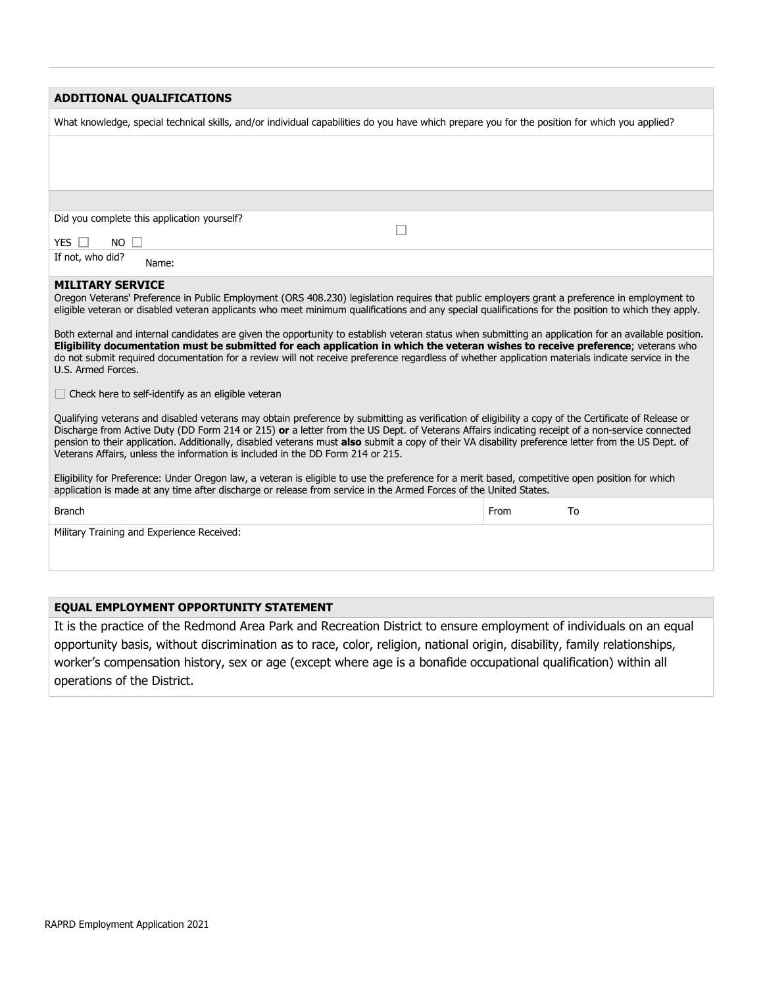| <b>ADDITIONAL QUALIFICATIONS</b>                                                                                                                                                                                                                                                                                                                                                                                                                                                                                                                                                                                                                                                                                                                                                                                                                                                                                                                                                                                       |            |  |  |  |
|------------------------------------------------------------------------------------------------------------------------------------------------------------------------------------------------------------------------------------------------------------------------------------------------------------------------------------------------------------------------------------------------------------------------------------------------------------------------------------------------------------------------------------------------------------------------------------------------------------------------------------------------------------------------------------------------------------------------------------------------------------------------------------------------------------------------------------------------------------------------------------------------------------------------------------------------------------------------------------------------------------------------|------------|--|--|--|
| What knowledge, special technical skills, and/or individual capabilities do you have which prepare you for the position for which you applied?                                                                                                                                                                                                                                                                                                                                                                                                                                                                                                                                                                                                                                                                                                                                                                                                                                                                         |            |  |  |  |
|                                                                                                                                                                                                                                                                                                                                                                                                                                                                                                                                                                                                                                                                                                                                                                                                                                                                                                                                                                                                                        |            |  |  |  |
|                                                                                                                                                                                                                                                                                                                                                                                                                                                                                                                                                                                                                                                                                                                                                                                                                                                                                                                                                                                                                        |            |  |  |  |
|                                                                                                                                                                                                                                                                                                                                                                                                                                                                                                                                                                                                                                                                                                                                                                                                                                                                                                                                                                                                                        |            |  |  |  |
| Did you complete this application yourself?                                                                                                                                                                                                                                                                                                                                                                                                                                                                                                                                                                                                                                                                                                                                                                                                                                                                                                                                                                            |            |  |  |  |
| YES $\Box$<br><b>NO</b>                                                                                                                                                                                                                                                                                                                                                                                                                                                                                                                                                                                                                                                                                                                                                                                                                                                                                                                                                                                                |            |  |  |  |
| If not, who did?<br>Name:                                                                                                                                                                                                                                                                                                                                                                                                                                                                                                                                                                                                                                                                                                                                                                                                                                                                                                                                                                                              |            |  |  |  |
| <b>MILITARY SERVICE</b><br>Oregon Veterans' Preference in Public Employment (ORS 408.230) legislation requires that public employers grant a preference in employment to<br>eligible veteran or disabled veteran applicants who meet minimum qualifications and any special qualifications for the position to which they apply.<br>Both external and internal candidates are given the opportunity to establish veteran status when submitting an application for an available position.<br>Eligibility documentation must be submitted for each application in which the veteran wishes to receive preference; veterans who<br>do not submit required documentation for a review will not receive preference regardless of whether application materials indicate service in the<br>U.S. Armed Forces.<br>Check here to self-identify as an eligible veteran<br>Qualifying veterans and disabled veterans may obtain preference by submitting as verification of eligibility a copy of the Certificate of Release or |            |  |  |  |
| Discharge from Active Duty (DD Form 214 or 215) or a letter from the US Dept. of Veterans Affairs indicating receipt of a non-service connected<br>pension to their application. Additionally, disabled veterans must also submit a copy of their VA disability preference letter from the US Dept. of<br>Veterans Affairs, unless the information is included in the DD Form 214 or 215.                                                                                                                                                                                                                                                                                                                                                                                                                                                                                                                                                                                                                              |            |  |  |  |
| Eligibility for Preference: Under Oregon law, a veteran is eligible to use the preference for a merit based, competitive open position for which<br>application is made at any time after discharge or release from service in the Armed Forces of the United States.                                                                                                                                                                                                                                                                                                                                                                                                                                                                                                                                                                                                                                                                                                                                                  |            |  |  |  |
| <b>Branch</b>                                                                                                                                                                                                                                                                                                                                                                                                                                                                                                                                                                                                                                                                                                                                                                                                                                                                                                                                                                                                          | From<br>To |  |  |  |
| Military Training and Experience Received:                                                                                                                                                                                                                                                                                                                                                                                                                                                                                                                                                                                                                                                                                                                                                                                                                                                                                                                                                                             |            |  |  |  |

### **EQUAL EMPLOYMENT OPPORTUNITY STATEMENT**

It is the practice of the Redmond Area Park and Recreation District to ensure employment of individuals on an equal opportunity basis, without discrimination as to race, color, religion, national origin, disability, family relationships, worker's compensation history, sex or age (except where age is a bonafide occupational qualification) within all operations of the District.